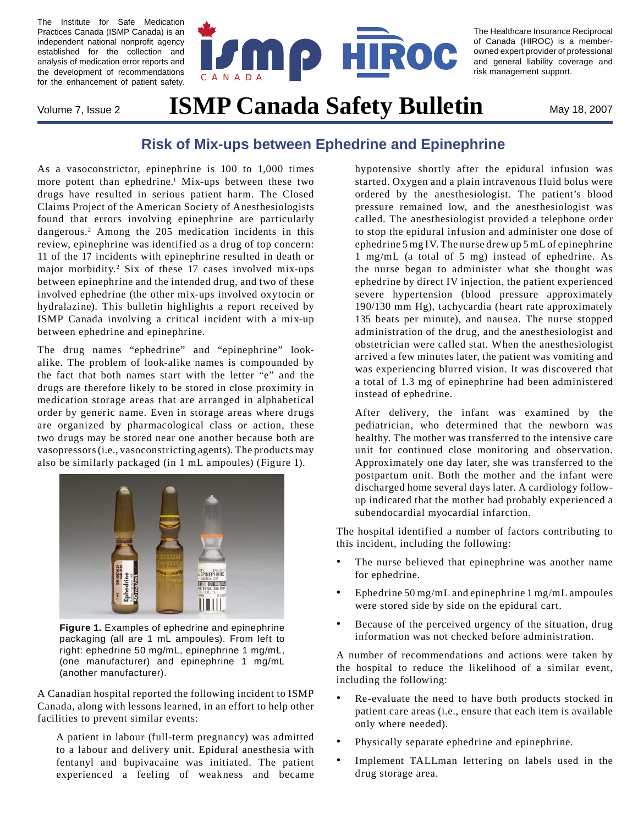The Institute for Safe Medication Practices Canada (ISMP Canada) is an independent national nonprofit agency established for the collection and analysis of medication error reports and the development of recommendations for the enhancement of patient safety.



The Healthcare Insurance Reciprocal of Canada (HIROC) is a memberowned expert provider of professional and general liability coverage and risk management support.

# Volume 7, Issue 2 **ISMP Canada Safety Bulletin** May 18, 2007

# **Risk of Mix-ups between Ephedrine and Epinephrine**

As a vasoconstrictor, epinephrine is 100 to 1,000 times more potent than ephedrine.<sup>1</sup> Mix-ups between these two drugs have resulted in serious patient harm. The Closed Claims Project of the American Society of Anesthesiologists found that errors involving epinephrine are particularly dangerous.2 Among the 205 medication incidents in this review, epinephrine was identified as a drug of top concern: 11 of the 17 incidents with epinephrine resulted in death or major morbidity.<sup>2</sup> Six of these 17 cases involved mix-ups between epinephrine and the intended drug, and two of these involved ephedrine (the other mix-ups involved oxytocin or hydralazine). This bulletin highlights a report received by ISMP Canada involving a critical incident with a mix-up between ephedrine and epinephrine.

The drug names "ephedrine" and "epinephrine" lookalike. The problem of look-alike names is compounded by the fact that both names start with the letter "e" and the drugs are therefore likely to be stored in close proximity in medication storage areas that are arranged in alphabetical order by generic name. Even in storage areas where drugs are organized by pharmacological class or action, these two drugs may be stored near one another because both are vasopressors (i.e., vasoconstricting agents). The products may also be similarly packaged (in 1 mL ampoules) (Figure 1).



**Figure 1.** Examples of ephedrine and epinephrine packaging (all are 1 mL ampoules). From left to right: ephedrine 50 mg/mL, epinephrine 1 mg/mL, (one manufacturer) and epinephrine 1 mg/mL (another manufacturer).

A Canadian hospital reported the following incident to ISMP Canada, along with lessons learned, in an effort to help other facilities to prevent similar events:

A patient in labour (full-term pregnancy) was admitted to a labour and delivery unit. Epidural anesthesia with fentanyl and bupivacaine was initiated. The patient experienced a feeling of weakness and became hypotensive shortly after the epidural infusion was started. Oxygen and a plain intravenous fluid bolus were ordered by the anesthesiologist. The patient's blood pressure remained low, and the anesthesiologist was called. The anesthesiologist provided a telephone order to stop the epidural infusion and administer one dose of ephedrine 5 mg IV. The nurse drew up 5 mL of epinephrine 1 mg/mL (a total of 5 mg) instead of ephedrine. As the nurse began to administer what she thought was ephedrine by direct IV injection, the patient experienced severe hypertension (blood pressure approximately 190/130 mm Hg), tachycardia (heart rate approximately 135 beats per minute), and nausea. The nurse stopped administration of the drug, and the anesthesiologist and obstetrician were called stat. When the anesthesiologist arrived a few minutes later, the patient was vomiting and was experiencing blurred vision. It was discovered that a total of 1.3 mg of epinephrine had been administered instead of ephedrine.

After delivery, the infant was examined by the pediatrician, who determined that the newborn was healthy. The mother was transferred to the intensive care unit for continued close monitoring and observation. Approximately one day later, she was transferred to the postpartum unit. Both the mother and the infant were discharged home several days later. A cardiology followup indicated that the mother had probably experienced a subendocardial myocardial infarction.

The hospital identified a number of factors contributing to this incident, including the following:

- The nurse believed that epinephrine was another name for ephedrine. •
- Ephedrine 50 mg/mL and epinephrine 1 mg/mL ampoules were stored side by side on the epidural cart. •
- Because of the perceived urgency of the situation, drug information was not checked before administration. •

A number of recommendations and actions were taken by the hospital to reduce the likelihood of a similar event, including the following:

- Re-evaluate the need to have both products stocked in patient care areas (i.e., ensure that each item is available only where needed). •
- Physically separate ephedrine and epinephrine. •
- Implement TALLman lettering on labels used in the drug storage area. •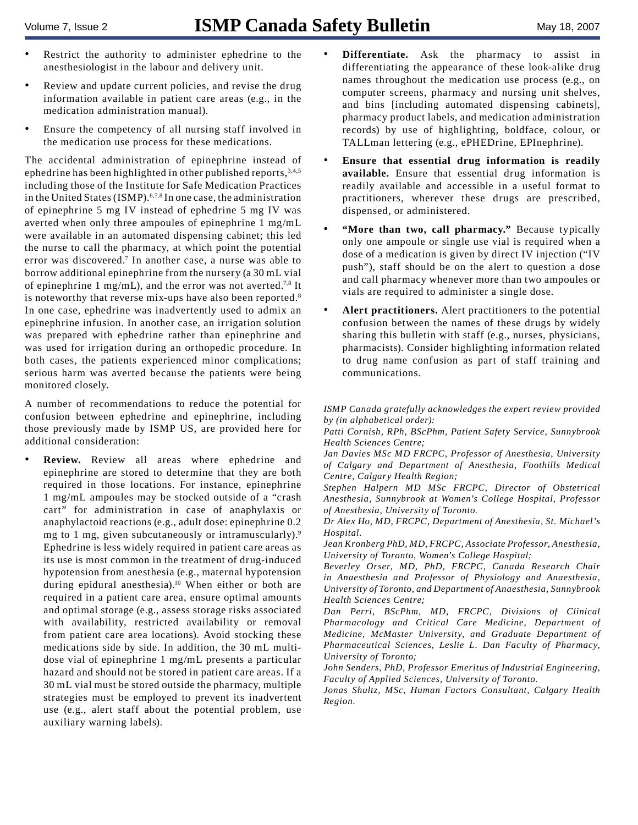- Restrict the authority to administer ephedrine to the anesthesiologist in the labour and delivery unit. •
- Review and update current policies, and revise the drug information available in patient care areas (e.g., in the medication administration manual). •
- Ensure the competency of all nursing staff involved in the medication use process for these medications. •

The accidental administration of epinephrine instead of ephedrine has been highlighted in other published reports, 3,4,5 including those of the Institute for Safe Medication Practices in the United States (ISMP).<sup>6,7,8</sup> In one case, the administration of epinephrine 5 mg IV instead of ephedrine 5 mg IV was averted when only three ampoules of epinephrine 1 mg/mL were available in an automated dispensing cabinet; this led the nurse to call the pharmacy, at which point the potential error was discovered.<sup>7</sup> In another case, a nurse was able to borrow additional epinephrine from the nursery (a 30 mL vial of epinephrine 1 mg/mL), and the error was not averted.<sup>7,8</sup> It is noteworthy that reverse mix-ups have also been reported.<sup>8</sup> In one case, ephedrine was inadvertently used to admix an epinephrine infusion. In another case, an irrigation solution was prepared with ephedrine rather than epinephrine and was used for irrigation during an orthopedic procedure. In both cases, the patients experienced minor complications; serious harm was averted because the patients were being monitored closely.

A number of recommendations to reduce the potential for confusion between ephedrine and epinephrine, including those previously made by ISMP US, are provided here for additional consideration:

**Review.** Review all areas where ephedrine and epinephrine are stored to determine that they are both required in those locations. For instance, epinephrine 1 mg/mL ampoules may be stocked outside of a "crash cart" for administration in case of anaphylaxis or anaphylactoid reactions (e.g., adult dose: epinephrine 0.2 mg to 1 mg, given subcutaneously or intramuscularly).<sup>9</sup> Ephedrine is less widely required in patient care areas as its use is most common in the treatment of drug-induced hypotension from anesthesia (e.g., maternal hypotension during epidural anesthesia).10 When either or both are required in a patient care area, ensure optimal amounts and optimal storage (e.g., assess storage risks associated with availability, restricted availability or removal from patient care area locations). Avoid stocking these medications side by side. In addition, the 30 mL multidose vial of epinephrine 1 mg/mL presents a particular hazard and should not be stored in patient care areas. If a 30 mL vial must be stored outside the pharmacy, multiple strategies must be employed to prevent its inadvertent use (e.g., alert staff about the potential problem, use auxiliary warning labels). •

- **Differentiate.** Ask the pharmacy to assist in differentiating the appearance of these look-alike drug names throughout the medication use process (e.g., on computer screens, pharmacy and nursing unit shelves, and bins [including automated dispensing cabinets], pharmacy product labels, and medication administration records) by use of highlighting, boldface, colour, or TALLman lettering (e.g., ePHEDrine, EPInephrine). •
- **Ensure that essential drug information is readily available.** Ensure that essential drug information is readily available and accessible in a useful format to practitioners, wherever these drugs are prescribed, dispensed, or administered. •
- **"More than two, call pharmacy."** Because typically only one ampoule or single use vial is required when a dose of a medication is given by direct IV injection ("IV push"), staff should be on the alert to question a dose and call pharmacy whenever more than two ampoules or vials are required to administer a single dose. •
- **Alert practitioners.** Alert practitioners to the potential confusion between the names of these drugs by widely sharing this bulletin with staff (e.g., nurses, physicians, pharmacists). Consider highlighting information related to drug name confusion as part of staff training and communications. •

*ISMP Canada gratefully acknowledges the expert review provided by (in alphabetical order):* 

*Patti Cornish, RPh, BScPhm, Patient Safety Service, Sunnybrook Health Sciences Centre;* 

*Jan Davies MSc MD FRCPC, Professor of Anesthesia, University of Calgary and Department of Anesthesia, Foothills Medical Centre, Calgary Health Region;*

*Stephen Halpern MD MSc FRCPC, Director of Obstetrical Anesthesia, Sunnybrook at Women's College Hospital, Professor of Anesthesia, University of Toronto.*

*Dr Alex Ho, MD, FRCPC, Department of Anesthesia, St. Michael's Hospital.*

*Jean Kronberg PhD, MD, FRCPC, Associate Professor, Anesthesia, University of Toronto, Women's College Hospital;*

*Beverley Orser, MD, PhD, FRCPC, Canada Research Chair in Anaesthesia and Professor of Physiology and Anaesthesia, University of Toronto, and Department of Anaesthesia, Sunnybrook Health Sciences Centre;* 

*Dan Perri, BScPhm, MD, FRCPC, Divisions of Clinical Pharmacology and Critical Care Medicine, Department of Medicine, McMaster University, and Graduate Department of Pharmaceutical Sciences, Leslie L. Dan Faculty of Pharmacy, University of Toronto;* 

*John Senders, PhD, Professor Emeritus of Industrial Engineering, Faculty of Applied Sciences, University of Toronto.*

*Jonas Shultz, MSc, Human Factors Consultant, Calgary Health Region.*